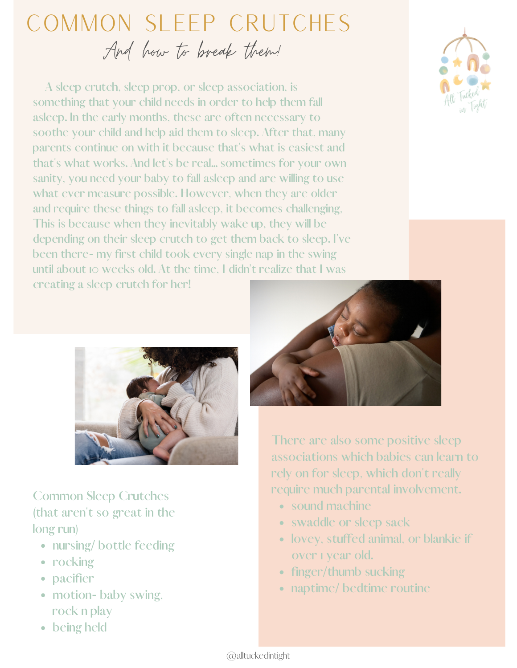## Common Sleep Crutches And how to break them!

**A sleep crutch, sleep prop, or sleep association, is something that your child needs in order to help them fall asleep. In the early months, these are often necessary to soothe your child and help aid them to sleep. After that, many parents continue on with it because that's what is easiest and that's what works. And let's be real... sometimes for your own sanity, you need your baby to fall asleep and are willing to use what ever measure possible. However, when they are older and require these things to fall asleep, it becomes challenging, This is because when they inevitably wake up, they will be depending on their sleep crutch to get them back to sleep. I've been there- my first child took every single nap in the swing until about 10 weeks old. At the time, I didn't realize that I was creating a sleep crutch for her!**





**Common Sleep Crutches (that aren't so great in the long run)**

- **nursing/ bottle feeding**
- **rocking**
- **pacifier**
- **motion- baby swing, rock n play**
- **being held**



**There are also some positive sleep associations which babies can learn to rely on for sleep, which don't really require much parental involvement.**

- **sound machine**
- **swaddle or sleep sack**
- **lovey, stuffed animal, or blankie if over 1 year old.**
- **finger/thumb sucking**
- **naptime/ bedtime routine**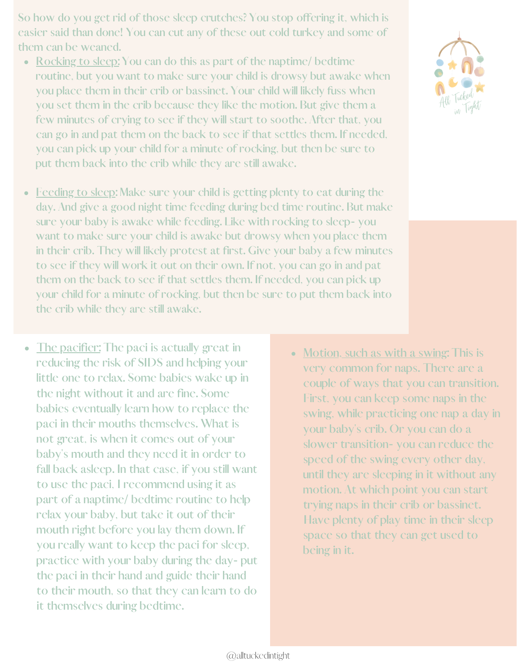**So how do you get rid of those sleep crutches? You stop offering it, which is easier said than done! You can cut any of these out cold turkey and some of them can be weaned.**

- **Rocking to sleep: You can do this as part of the naptime/ bedtime routine, but you want to make sure your child is drowsy but awake when you place them in their crib or bassinet. Your child will likely fuss when you set them in the crib because they like the motion. But give them a few minutes of crying to see if they will start to soothe. After that, you can go in and pat them on the back to see if that settles them. If needed, you can pick up your child for a minute of rocking, but then be sure to put them back into the crib while they are still awake.**
- **Feeding to sleep: Make sure your child is getting plenty to eat during the day. And give a good night time feeding during bed time routine. But make sure your baby is awake while feeding. Like with rocking to sleep- you want to make sure your child is awake but drowsy when you place them in their crib. They will likely protest at first. Give your baby a few minutes to see if they will work it out on their own. If not, you can go in and pat them on the back to see if that settles them. If needed, you can pick up your child for a minute of rocking, but then be sure to put them back into the crib while they are still awake.**
- **The pacifier: The paci is actually great in**  $\bullet$ **reducing the risk of SIDS and helping your little one to relax. Some babies wake up in the night without it and are fine. Some babies eventually learn how to replace the paci in their mouths themselves. What is not great, is when it comes out of your baby's mouth and they need it in order to fall back asleep. In that case, if you still want to use the paci, I recommend using it as part of a naptime/ bedtime routine to help relax your baby, but take it out of their mouth right before you lay them down. If you really want to keep the paci for sleep, practice with your baby during the day- put the paci in their hand and guide their hand to their mouth, so that they can learn to do it themselves during bedtime.**